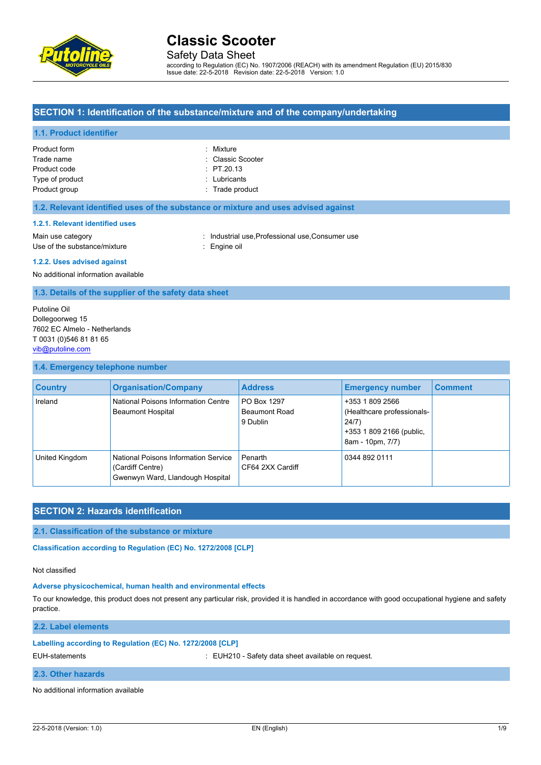

Safety Data Sheet

according to Regulation (EC) No. 1907/2006 (REACH) with its amendment Regulation (EU) 2015/830 Issue date: 22-5-2018 Revision date: 22-5-2018 Version: 1.0

### **SECTION 1: Identification of the substance/mixture and of the company/undertaking**

#### **1.1. Product identifier**

| Product form    | : Mixture         |
|-----------------|-------------------|
| Trade name      | : Classic Scooter |
| Product code    | $\div$ PT.20.13   |
| Type of product | : Lubricants      |
| Product group   | : Trade product   |

#### **1.2. Relevant identified uses of the substance or mixture and uses advised against**

#### **1.2.1. Relevant identified uses**

Main use category **industrial use, Professional use, Consumer use** in Main use category Use of the substance/mixture : Engine oil

#### **1.2.2. Uses advised against**

No additional information available

**1.3. Details of the supplier of the safety data sheet**

Putoline Oil Dollegoorweg 15 7602 EC Almelo - Netherlands T 0031 (0)546 81 81 65 [vib@putoline.com](mailto:vib@putoline.com)

### **1.4. Emergency telephone number**

| <b>Country</b> | <b>Organisation/Company</b>                                                                  | <b>Address</b>                           | <b>Emergency number</b>                                                                                | <b>Comment</b> |
|----------------|----------------------------------------------------------------------------------------------|------------------------------------------|--------------------------------------------------------------------------------------------------------|----------------|
| Ireland        | National Poisons Information Centre<br><b>Beaumont Hospital</b>                              | PO Box 1297<br>Beaumont Road<br>9 Dublin | +353 1 809 2566<br>(Healthcare professionals-<br>24/7)<br>+353 1 809 2166 (public,<br>8am - 10pm, 7/7) |                |
| United Kingdom | National Poisons Information Service<br>(Cardiff Centre)<br>Gwenwyn Ward, Llandough Hospital | Penarth<br>CF64 2XX Cardiff              | 0344 892 0111                                                                                          |                |

# **SECTION 2: Hazards identification**

### **2.1. Classification of the substance or mixture**

Classification according to Regulation (EC) No. 1272/2008 [CLP]

#### Not classified

#### **Adverse physicochemical, human health and environmental effects**

To our knowledge, this product does not present any particular risk, provided it is handled in accordance with good occupational hygiene and safety practice.

#### **2.2. Label elements**

#### **Labelling according to Regulation (EC) No. 1272/2008 [CLP]**

EUH-statements : EUH210 - Safety data sheet available on request.

### **2.3. Other hazards**

No additional information available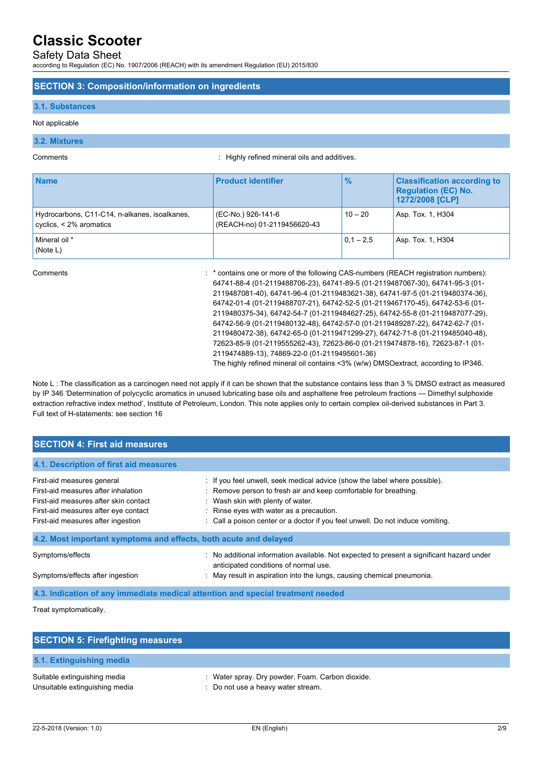# Safety Data Sheet

according to Regulation (EC) No. 1907/2006 (REACH) with its amendment Regulation (EU) 2015/830

#### **SECTION 3: Composition/information on ingredients**

#### **3.1. Substances**

#### Not applicable

#### **3.2. Mixtures**

Comments : Highly refined mineral oils and additives.

| <b>Name</b>                                                                   | <b>Product identifier</b>                         | $\frac{9}{6}$ | <b>Classification according to</b><br><b>Regulation (EC) No.</b><br>1272/2008 [CLP] |
|-------------------------------------------------------------------------------|---------------------------------------------------|---------------|-------------------------------------------------------------------------------------|
| Hydrocarbons, C11-C14, n-alkanes, isoalkanes,<br>cyclics, $\leq$ 2% aromatics | (EC-No.) 926-141-6<br>(REACH-no) 01-2119456620-43 | $10 - 20$     | Asp. Tox. 1, H304                                                                   |
| Mineral oil *<br>(Note L)                                                     |                                                   | $ 0.1 - 2.5 $ | Asp. Tox. 1, H304                                                                   |

Comments : \* contains one or more of the following CAS-numbers (REACH registration numbers): 64741-88-4 (01-2119488706-23), 64741-89-5 (01-2119487067-30), 64741-95-3 (01- 2119487081-40), 64741-96-4 (01-2119483621-38), 64741-97-5 (01-2119480374-36), 64742-01-4 (01-2119488707-21), 64742-52-5 (01-2119467170-45), 64742-53-6 (01- 2119480375-34), 64742-54-7 (01-2119484627-25), 64742-55-8 (01-2119487077-29), 64742-56-9 (01-2119480132-48), 64742-57-0 (01-2119489287-22), 64742-62-7 (01- 2119480472-38), 64742-65-0 (01-2119471299-27), 64742-71-8 (01-2119485040-48), 72623-85-9 (01-2119555262-43), 72623-86-0 (01-2119474878-16), 72623-87-1 (01- 2119474889-13), 74869-22-0 (01-2119495601-36)

The highly refined mineral oil contains <3% (w/w) DMSOextract, according to IP346.

Note L : The classification as a carcinogen need not apply if it can be shown that the substance contains less than 3 % DMSO extract as measured by IP 346 'Determination of polycyclic aromatics in unused lubricating base oils and asphaltene free petroleum fractions — Dimethyl sulphoxide extraction refractive index method', Institute of Petroleum, London. This note applies only to certain complex oil-derived substances in Part 3. Full text of H-statements: see section 16

| <b>SECTION 4: First aid measures</b>                                                                                                                                                     |                                                                                                                                                                                                                                                                                                                   |  |  |
|------------------------------------------------------------------------------------------------------------------------------------------------------------------------------------------|-------------------------------------------------------------------------------------------------------------------------------------------------------------------------------------------------------------------------------------------------------------------------------------------------------------------|--|--|
| 4.1. Description of first aid measures                                                                                                                                                   |                                                                                                                                                                                                                                                                                                                   |  |  |
| First-aid measures general<br>First-aid measures after inhalation<br>First-aid measures after skin contact<br>First-aid measures after eye contact<br>First-aid measures after ingestion | : If you feel unwell, seek medical advice (show the label where possible).<br>: Remove person to fresh air and keep comfortable for breathing.<br>: Wash skin with plenty of water.<br>: Rinse eyes with water as a precaution.<br>: Call a poison center or a doctor if you feel unwell. Do not induce vomiting. |  |  |
| 4.2. Most important symptoms and effects, both acute and delayed                                                                                                                         |                                                                                                                                                                                                                                                                                                                   |  |  |
| Symptoms/effects<br>Symptoms/effects after ingestion                                                                                                                                     | No additional information available. Not expected to present a significant hazard under<br>anticipated conditions of normal use.<br>: May result in aspiration into the lungs, causing chemical pneumonia.                                                                                                        |  |  |
| 4.3. Indication of any immediate medical attention and special treatment needed                                                                                                          |                                                                                                                                                                                                                                                                                                                   |  |  |

Treat symptomatically.

| <b>SECTION 5: Firefighting measures</b>                        |                                                                                        |
|----------------------------------------------------------------|----------------------------------------------------------------------------------------|
| 5.1. Extinguishing media                                       |                                                                                        |
| Suitable extinguishing media<br>Unsuitable extinguishing media | : Water spray. Dry powder. Foam. Carbon dioxide.<br>: Do not use a heavy water stream. |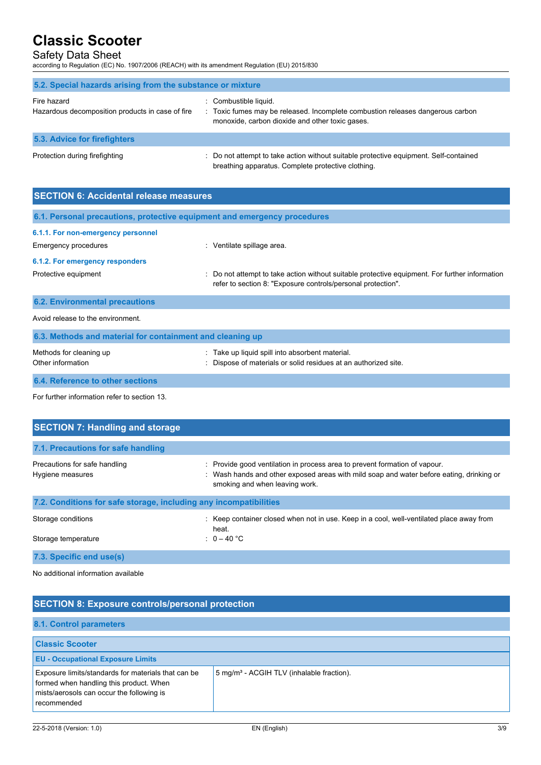## Safety Data Sheet

according to Regulation (EC) No. 1907/2006 (REACH) with its amendment Regulation (EU) 2015/830

| 5.2. Special hazards arising from the substance or mixture      |                                                                                                                                                            |
|-----------------------------------------------------------------|------------------------------------------------------------------------------------------------------------------------------------------------------------|
| Fire hazard<br>Hazardous decomposition products in case of fire | : Combustible liquid.<br>: Toxic fumes may be released. Incomplete combustion releases dangerous carbon<br>monoxide, carbon dioxide and other toxic gases. |
| <b>5.3. Advice for firefighters</b>                             |                                                                                                                                                            |
| Protection during firefighting                                  | : Do not attempt to take action without suitable protective equipment. Self-contained<br>breathing apparatus. Complete protective clothing.                |

| <b>SECTION 6: Accidental release measures</b>                            |                                                                                                                                                              |  |  |
|--------------------------------------------------------------------------|--------------------------------------------------------------------------------------------------------------------------------------------------------------|--|--|
| 6.1. Personal precautions, protective equipment and emergency procedures |                                                                                                                                                              |  |  |
| 6.1.1. For non-emergency personnel                                       |                                                                                                                                                              |  |  |
| Emergency procedures                                                     | : Ventilate spillage area.                                                                                                                                   |  |  |
| 6.1.2. For emergency responders                                          |                                                                                                                                                              |  |  |
| Protective equipment                                                     | Do not attempt to take action without suitable protective equipment. For further information<br>refer to section 8: "Exposure controls/personal protection". |  |  |
| <b>6.2. Environmental precautions</b>                                    |                                                                                                                                                              |  |  |
| Avoid release to the environment.                                        |                                                                                                                                                              |  |  |
| 6.3. Methods and material for containment and cleaning up                |                                                                                                                                                              |  |  |
| Methods for cleaning up<br>Other information                             | Take up liquid spill into absorbent material.<br>Dispose of materials or solid residues at an authorized site.                                               |  |  |
| 6.4. Reference to other sections                                         |                                                                                                                                                              |  |  |

For further information refer to section 13.

| <b>SECTION 7: Handling and storage</b>                                                                                                                                                                   |  |  |  |
|----------------------------------------------------------------------------------------------------------------------------------------------------------------------------------------------------------|--|--|--|
|                                                                                                                                                                                                          |  |  |  |
| : Provide good ventilation in process area to prevent formation of vapour.<br>: Wash hands and other exposed areas with mild soap and water before eating, drinking or<br>smoking and when leaving work. |  |  |  |
| 7.2. Conditions for safe storage, including any incompatibilities                                                                                                                                        |  |  |  |
| : Keep container closed when not in use. Keep in a cool, well-ventilated place away from<br>heat.                                                                                                        |  |  |  |
| : $0 - 40$ °C                                                                                                                                                                                            |  |  |  |
|                                                                                                                                                                                                          |  |  |  |
|                                                                                                                                                                                                          |  |  |  |

No additional information available

| <b>SECTION 8: Exposure controls/personal protection</b>                                                                                                    |                                                       |  |
|------------------------------------------------------------------------------------------------------------------------------------------------------------|-------------------------------------------------------|--|
| <b>8.1. Control parameters</b>                                                                                                                             |                                                       |  |
| <b>Classic Scooter</b><br><b>EU - Occupational Exposure Limits</b>                                                                                         |                                                       |  |
| Exposure limits/standards for materials that can be<br>formed when handling this product. When<br>mists/aerosols can occur the following is<br>recommended | 5 mg/m <sup>3</sup> - ACGIH TLV (inhalable fraction). |  |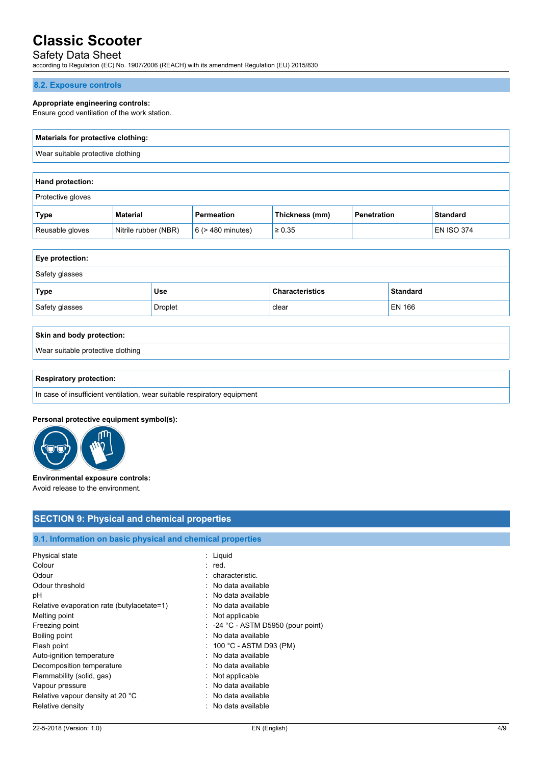# Safety Data Sheet

according to Regulation (EC) No. 1907/2006 (REACH) with its amendment Regulation (EU) 2015/830

#### **8.2. Exposure controls**

#### **Appropriate engineering controls:**

Ensure good ventilation of the work station.

# **Materials for protective clothing:** Wear suitable protective clothing

| <b>Hand protection:</b>  |                      |                        |                |             |                   |
|--------------------------|----------------------|------------------------|----------------|-------------|-------------------|
| <b>Protective gloves</b> |                      |                        |                |             |                   |
| Type                     | Material             | Permeation             | Thickness (mm) | Penetration | <b>Standard</b>   |
| Reusable gloves          | Nitrile rubber (NBR) | $6$ ( $>$ 480 minutes) | $\ge 0.35$     |             | <b>EN ISO 374</b> |

| <b>Eye protection:</b> |                |                        |                 |
|------------------------|----------------|------------------------|-----------------|
| Safety glasses         |                |                        |                 |
| Type                   | Use            | <b>Characteristics</b> | <b>Standard</b> |
| Safety glasses         | <b>Droplet</b> | clear                  | EN 166          |

# **Skin and body protection:** Wear suitable protective clothing

#### **Respiratory protection:**

In case of insufficient ventilation, wear suitable respiratory equipment

#### **Personal protective equipment symbol(s):**



#### **Environmental exposure controls:** Avoid release to the environment.

## **SECTION 9: Physical and chemical properties**

# **9.1. Information on basic physical and chemical properties**

| : Liguid                                      |
|-----------------------------------------------|
| : red.                                        |
| : characteristic.                             |
| : No data available                           |
| : No data available                           |
| : No data available                           |
| $:$ Not applicable                            |
| $\therefore$ -24 °C - ASTM D5950 (pour point) |
| : No data available                           |
| : $100 °C$ - ASTM D93 (PM)                    |
| : No data available                           |
| : No data available                           |
| $:$ Not applicable                            |
| : No data available                           |
| : No data available                           |
| : No data available                           |
|                                               |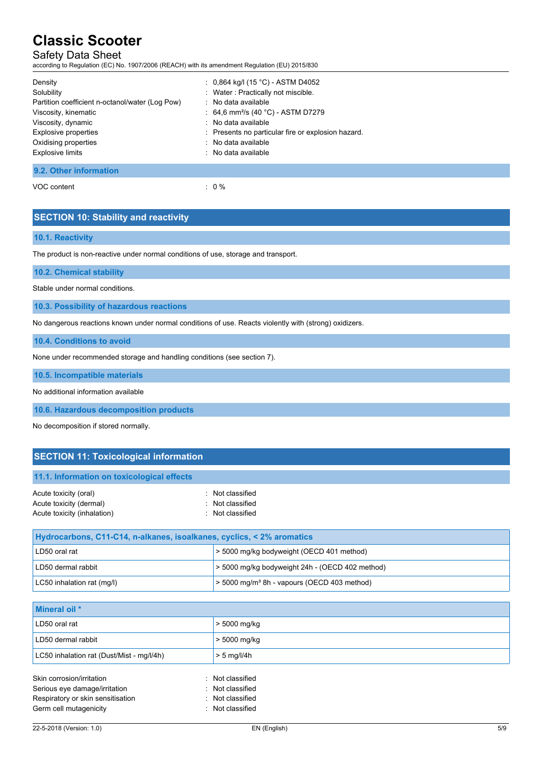# Safety Data Sheet

according to Regulation (EC) No. 1907/2006 (REACH) with its amendment Regulation (EU) 2015/830

| Density                                         | : $0,864$ kg/l (15 °C) - ASTM D4052                |
|-------------------------------------------------|----------------------------------------------------|
| Solubility                                      | : Water: Practically not miscible.                 |
| Partition coefficient n-octanol/water (Log Pow) | : No data available                                |
| Viscosity, kinematic                            | : 64.6 mm <sup>2</sup> /s (40 °C) - ASTM D7279     |
| Viscosity, dynamic                              | : No data available                                |
| Explosive properties                            | : Presents no particular fire or explosion hazard. |
| Oxidising properties                            | : No data available                                |
| <b>Explosive limits</b>                         | : No data available                                |
| 9.2. Other information                          |                                                    |

VOC content : 0 %

# **SECTION 10: Stability and reactivity**

#### **10.1. Reactivity**

The product is non-reactive under normal conditions of use, storage and transport.

**10.2. Chemical stability**

Stable under normal conditions.

**10.3. Possibility of hazardous reactions**

No dangerous reactions known under normal conditions of use. Reacts violently with (strong) oxidizers.

**10.4. Conditions to avoid**

None under recommended storage and handling conditions (see section 7).

**10.5. Incompatible materials**

No additional information available

**10.6. Hazardous decomposition products**

No decomposition if stored normally.

# **SECTION 11: Toxicological information**

## **11.1. Information on toxicological effects**

| Acute toxicity (oral)       | : Not classified |
|-----------------------------|------------------|
| Acute toxicity (dermal)     | : Not classified |
| Acute toxicity (inhalation) | : Not classified |

| Hydrocarbons, C11-C14, n-alkanes, isoalkanes, cyclics, < 2% aromatics |                                                           |  |  |
|-----------------------------------------------------------------------|-----------------------------------------------------------|--|--|
| LD50 oral rat                                                         | 5000 mg/kg bodyweight (OECD 401 method)                   |  |  |
| LD50 dermal rabbit                                                    | > 5000 mg/kg bodyweight 24h - (OECD 402 method)           |  |  |
| LC50 inhalation rat (mg/l)                                            | $>$ 5000 mg/m <sup>3</sup> 8h - vapours (OECD 403 method) |  |  |

| Mineral oil *                             |                  |
|-------------------------------------------|------------------|
| LD50 oral rat                             | > 5000 mg/kg     |
| LD50 dermal rabbit                        | > 5000 mg/kg     |
| LC50 inhalation rat (Dust/Mist - mg/l/4h) | $> 5$ mg/l/4h    |
| Skin corrosion/irritation                 | : Not classified |
| Serious eye damage/irritation             | : Not classified |
| Respiratory or skin sensitisation         | : Not classified |
| Germ cell mutagenicity                    | : Not classified |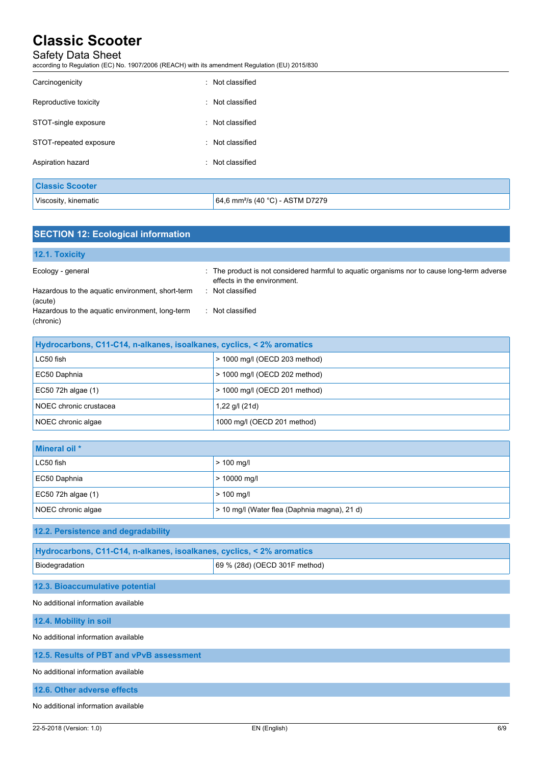# Safety Data Sheet

according to Regulation (EC) No. 1907/2006 (REACH) with its amendment Regulation (EU) 2015/830

| Carcinogenicity        | : Not classified                             |
|------------------------|----------------------------------------------|
| Reproductive toxicity  | : Not classified                             |
| STOT-single exposure   | : Not classified                             |
| STOT-repeated exposure | : Not classified                             |
| Aspiration hazard      | : Not classified                             |
| <b>Classic Scooter</b> |                                              |
| Viscosity, kinematic   | 64,6 mm <sup>2</sup> /s (40 °C) - ASTM D7279 |

| <b>SECTION 12: Ecological information</b>                    |                                                                                                                            |
|--------------------------------------------------------------|----------------------------------------------------------------------------------------------------------------------------|
| 12.1. Toxicity                                               |                                                                                                                            |
| Ecology - general                                            | : The product is not considered harmful to aquatic organisms nor to cause long-term adverse<br>effects in the environment. |
| Hazardous to the aquatic environment, short-term<br>(acute)  | : Not classified                                                                                                           |
| Hazardous to the aquatic environment, long-term<br>(chronic) | : Not classified                                                                                                           |
|                                                              |                                                                                                                            |

| Hydrocarbons, C11-C14, n-alkanes, isoalkanes, cyclics, < 2% aromatics |                               |  |
|-----------------------------------------------------------------------|-------------------------------|--|
| $LC50$ fish<br>> 1000 mg/l (OECD 203 method)                          |                               |  |
| EC50 Daphnia                                                          | > 1000 mg/l (OECD 202 method) |  |
| $EC50$ 72h algae $(1)$                                                | > 1000 mg/l (OECD 201 method) |  |
| NOEC chronic crustacea                                                | 1,22 g/l (21d)                |  |
| NOEC chronic algae                                                    | 1000 mg/l (OECD 201 method)   |  |

| Mineral oil *      |                                              |
|--------------------|----------------------------------------------|
| LC50 fish          | $> 100$ mg/l                                 |
| EC50 Daphnia       | $> 10000$ mg/l                               |
| EC50 72h algae (1) | $> 100$ mg/l                                 |
| NOEC chronic algae | > 10 mg/l (Water flea (Daphnia magna), 21 d) |

## **12.2. Persistence and degradability**

| Hydrocarbons, C11-C14, n-alkanes, isoalkanes, cyclics, < 2% aromatics |                               |  |
|-----------------------------------------------------------------------|-------------------------------|--|
| Biodegradation                                                        | 69 % (28d) (OECD 301F method) |  |

# **12.3. Bioaccumulative potential**

No additional information available

**12.4. Mobility in soil** No additional information available

# **12.5. Results of PBT and vPvB assessment**

No additional information available

### **12.6. Other adverse effects**

No additional information available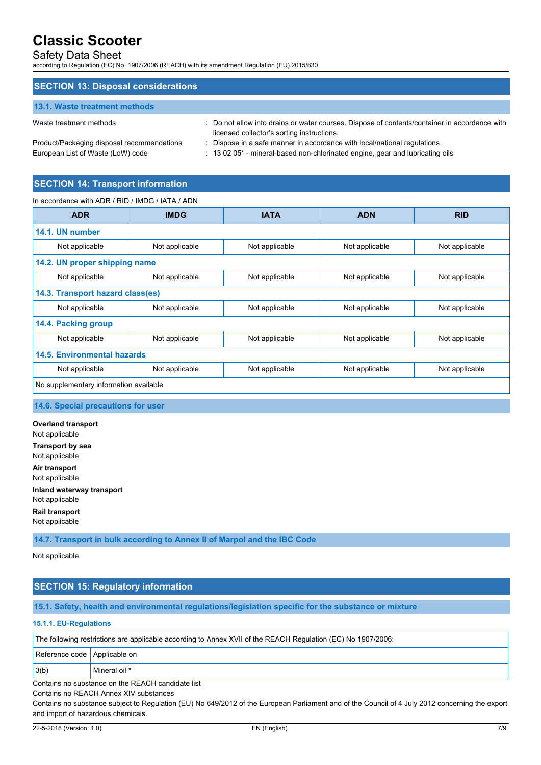# Safety Data Sheet

according to Regulation (EC) No. 1907/2006 (REACH) with its amendment Regulation (EU) 2015/830

| <b>SECTION 13: Disposal considerations</b> |                                                                                                                                                                                                                 |
|--------------------------------------------|-----------------------------------------------------------------------------------------------------------------------------------------------------------------------------------------------------------------|
| 13.1. Waste treatment methods              |                                                                                                                                                                                                                 |
| Waste treatment methods                    | : Do not allow into drains or water courses. Dispose of contents/container in accordance with<br>the expected that allowed a local contract and a set of the second contract of the set of the set of the set o |

licensed collector's sorting instructions. Product/Packaging disposal recommendations : Dispose in a safe manner in accordance with local/national regulations.

European List of Waste (LoW) code : 13 02 05\* - mineral-based non-chlorinated engine, gear and lubricating oils

# **SECTION 14: Transport information**

#### In accordance with ADR / RID / IMDG / IATA / ADN

| <b>ADR</b>                             | <b>IMDG</b>    | <b>IATA</b>    | <b>ADN</b>     | <b>RID</b>     |  |
|----------------------------------------|----------------|----------------|----------------|----------------|--|
| 14.1. UN number                        |                |                |                |                |  |
| Not applicable                         | Not applicable | Not applicable | Not applicable | Not applicable |  |
| 14.2. UN proper shipping name          |                |                |                |                |  |
| Not applicable                         | Not applicable | Not applicable | Not applicable | Not applicable |  |
| 14.3. Transport hazard class(es)       |                |                |                |                |  |
| Not applicable                         | Not applicable | Not applicable | Not applicable | Not applicable |  |
| 14.4. Packing group                    |                |                |                |                |  |
| Not applicable                         | Not applicable | Not applicable | Not applicable | Not applicable |  |
| 14.5. Environmental hazards            |                |                |                |                |  |
| Not applicable                         | Not applicable | Not applicable | Not applicable | Not applicable |  |
| No supplementary information available |                |                |                |                |  |

### **14.6. Special precautions for user**

**Overland transport** Not applicable **Transport by sea** Not applicable **Air transport** Not applicable **Inland waterway transport** Not applicable **Rail transport** Not applicable

**14.7. Transport in bulk according to Annex II of Marpol and the IBC Code**

Not applicable

# **SECTION 15: Regulatory information**

**15.1. Safety, health and environmental regulations/legislation specific for the substance or mixture**

### **15.1.1. EU-Regulations**

Reference code Applicable on

3(b) Mineral oil \*

# Contains no substance on the REACH candidate list

Contains no REACH Annex XIV substances

Contains no substance subject to Regulation (EU) No 649/2012 of the European Parliament and of the Council of 4 July 2012 concerning the export and import of hazardous chemicals.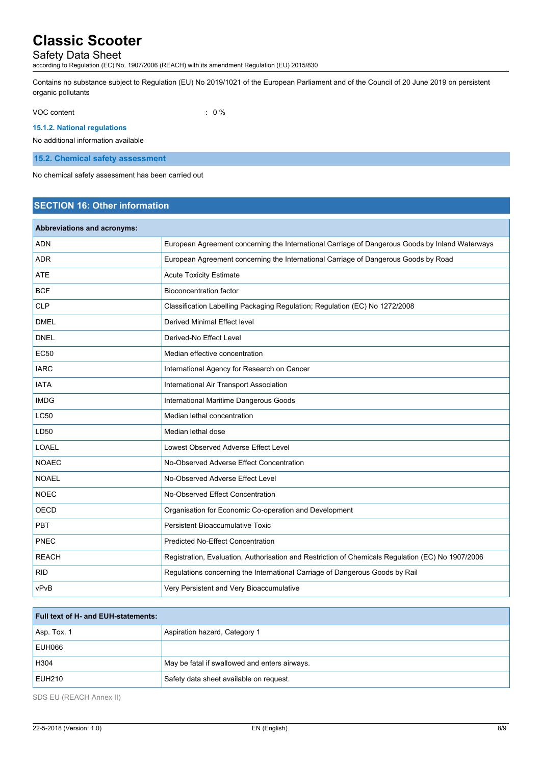# Safety Data Sheet

according to Regulation (EC) No. 1907/2006 (REACH) with its amendment Regulation (EU) 2015/830

Contains no substance subject to Regulation (EU) No 2019/1021 of the European Parliament and of the Council of 20 June 2019 on persistent organic pollutants

VOC content  $\qquad \qquad : \qquad 0 \%$ 

### **15.1.2. National regulations**

No additional information available

**15.2. Chemical safety assessment**

No chemical safety assessment has been carried out

# **SECTION 16: Other information**

| Abbreviations and acronyms: |                                                                                                   |
|-----------------------------|---------------------------------------------------------------------------------------------------|
| <b>ADN</b>                  | European Agreement concerning the International Carriage of Dangerous Goods by Inland Waterways   |
| <b>ADR</b>                  | European Agreement concerning the International Carriage of Dangerous Goods by Road               |
| <b>ATE</b>                  | <b>Acute Toxicity Estimate</b>                                                                    |
| <b>BCF</b>                  | <b>Bioconcentration factor</b>                                                                    |
| <b>CLP</b>                  | Classification Labelling Packaging Regulation; Regulation (EC) No 1272/2008                       |
| <b>DMEL</b>                 | Derived Minimal Effect level                                                                      |
| <b>DNEL</b>                 | Derived-No Effect Level                                                                           |
| <b>EC50</b>                 | Median effective concentration                                                                    |
| <b>IARC</b>                 | International Agency for Research on Cancer                                                       |
| <b>IATA</b>                 | International Air Transport Association                                                           |
| <b>IMDG</b>                 | International Maritime Dangerous Goods                                                            |
| <b>LC50</b>                 | Median lethal concentration                                                                       |
| LD50                        | Median lethal dose                                                                                |
| <b>LOAEL</b>                | Lowest Observed Adverse Effect Level                                                              |
| <b>NOAEC</b>                | No-Observed Adverse Effect Concentration                                                          |
| <b>NOAEL</b>                | No-Observed Adverse Effect Level                                                                  |
| <b>NOEC</b>                 | No-Observed Effect Concentration                                                                  |
| <b>OECD</b>                 | Organisation for Economic Co-operation and Development                                            |
| PBT                         | Persistent Bioaccumulative Toxic                                                                  |
| PNEC                        | <b>Predicted No-Effect Concentration</b>                                                          |
| <b>REACH</b>                | Registration, Evaluation, Authorisation and Restriction of Chemicals Regulation (EC) No 1907/2006 |
| <b>RID</b>                  | Regulations concerning the International Carriage of Dangerous Goods by Rail                      |
| vPvB                        | Very Persistent and Very Bioaccumulative                                                          |

| <b>Full text of H- and EUH-statements:</b> |                                               |
|--------------------------------------------|-----------------------------------------------|
| $ $ Asp. Tox. 1                            | Aspiration hazard, Category 1                 |
| EUH066                                     |                                               |
| H304                                       | May be fatal if swallowed and enters airways. |
| EUH <sub>210</sub>                         | Safety data sheet available on request.       |

SDS EU (REACH Annex II)